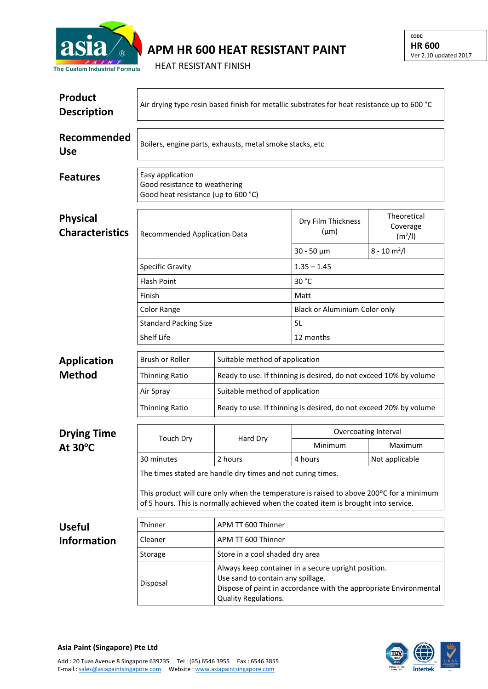

## **APM HR 600 HEAT RESISTANT PAINT**

HEAT RESISTANT FINISH

| <b>Product</b><br><b>Description</b>      | Air drying type resin based finish for metallic substrates for heat resistance up to 600 °C                                                                                    |                                                                                                                                                                                       |                                                                                                     |                                                |  |  |
|-------------------------------------------|--------------------------------------------------------------------------------------------------------------------------------------------------------------------------------|---------------------------------------------------------------------------------------------------------------------------------------------------------------------------------------|-----------------------------------------------------------------------------------------------------|------------------------------------------------|--|--|
| Recommended<br><b>Use</b>                 | Boilers, engine parts, exhausts, metal smoke stacks, etc                                                                                                                       |                                                                                                                                                                                       |                                                                                                     |                                                |  |  |
| <b>Features</b>                           | Easy application<br>Good resistance to weathering<br>Good heat resistance (up to 600 °C)                                                                                       |                                                                                                                                                                                       |                                                                                                     |                                                |  |  |
| <b>Physical</b><br><b>Characteristics</b> | Recommended Application Data                                                                                                                                                   |                                                                                                                                                                                       | Dry Film Thickness<br>$(\mu m)$                                                                     | Theoretical<br>Coverage<br>(m <sup>2</sup> /I) |  |  |
|                                           |                                                                                                                                                                                |                                                                                                                                                                                       | $30 - 50 \mu m$                                                                                     | $8 - 10 m2/I$                                  |  |  |
|                                           | <b>Specific Gravity</b>                                                                                                                                                        |                                                                                                                                                                                       | $1.35 - 1.45$                                                                                       |                                                |  |  |
|                                           | <b>Flash Point</b>                                                                                                                                                             |                                                                                                                                                                                       | 30 °C                                                                                               |                                                |  |  |
|                                           | Finish                                                                                                                                                                         |                                                                                                                                                                                       | Matt                                                                                                |                                                |  |  |
|                                           | Color Range                                                                                                                                                                    |                                                                                                                                                                                       | Black or Aluminium Color only                                                                       |                                                |  |  |
|                                           | <b>Standard Packing Size</b>                                                                                                                                                   |                                                                                                                                                                                       | 5L                                                                                                  |                                                |  |  |
|                                           | Shelf Life                                                                                                                                                                     |                                                                                                                                                                                       | 12 months                                                                                           |                                                |  |  |
| <b>Application</b>                        | Brush or Roller                                                                                                                                                                | Suitable method of application                                                                                                                                                        |                                                                                                     |                                                |  |  |
| <b>Method</b>                             | <b>Thinning Ratio</b>                                                                                                                                                          |                                                                                                                                                                                       | Ready to use. If thinning is desired, do not exceed 10% by volume                                   |                                                |  |  |
|                                           |                                                                                                                                                                                |                                                                                                                                                                                       |                                                                                                     |                                                |  |  |
|                                           | Air Spray                                                                                                                                                                      |                                                                                                                                                                                       | Suitable method of application<br>Ready to use. If thinning is desired, do not exceed 20% by volume |                                                |  |  |
|                                           | <b>Thinning Ratio</b>                                                                                                                                                          |                                                                                                                                                                                       |                                                                                                     |                                                |  |  |
| <b>Drying Time</b><br>At $30^{\circ}$ C   |                                                                                                                                                                                | Hard Dry                                                                                                                                                                              | Overcoating Interval                                                                                |                                                |  |  |
|                                           | <b>Touch Dry</b>                                                                                                                                                               |                                                                                                                                                                                       | Minimum                                                                                             | Maximum                                        |  |  |
|                                           | 30 minutes                                                                                                                                                                     | 2 hours                                                                                                                                                                               | 4 hours                                                                                             | Not applicable                                 |  |  |
|                                           | The times stated are handle dry times and not curing times.                                                                                                                    |                                                                                                                                                                                       |                                                                                                     |                                                |  |  |
|                                           | This product will cure only when the temperature is raised to above 200ºC for a minimum<br>of 5 hours. This is normally achieved when the coated item is brought into service. |                                                                                                                                                                                       |                                                                                                     |                                                |  |  |
| <b>Useful</b>                             | Thinner                                                                                                                                                                        | APM TT 600 Thinner                                                                                                                                                                    |                                                                                                     |                                                |  |  |
| <b>Information</b>                        | Cleaner                                                                                                                                                                        | APM TT 600 Thinner                                                                                                                                                                    |                                                                                                     |                                                |  |  |
|                                           | Storage                                                                                                                                                                        | Store in a cool shaded dry area                                                                                                                                                       |                                                                                                     |                                                |  |  |
|                                           | Disposal                                                                                                                                                                       | Always keep container in a secure upright position.<br>Use sand to contain any spillage.<br>Dispose of paint in accordance with the appropriate Environmental<br>Quality Regulations. |                                                                                                     |                                                |  |  |



**Asia Paint (Singapore) Pte Ltd**